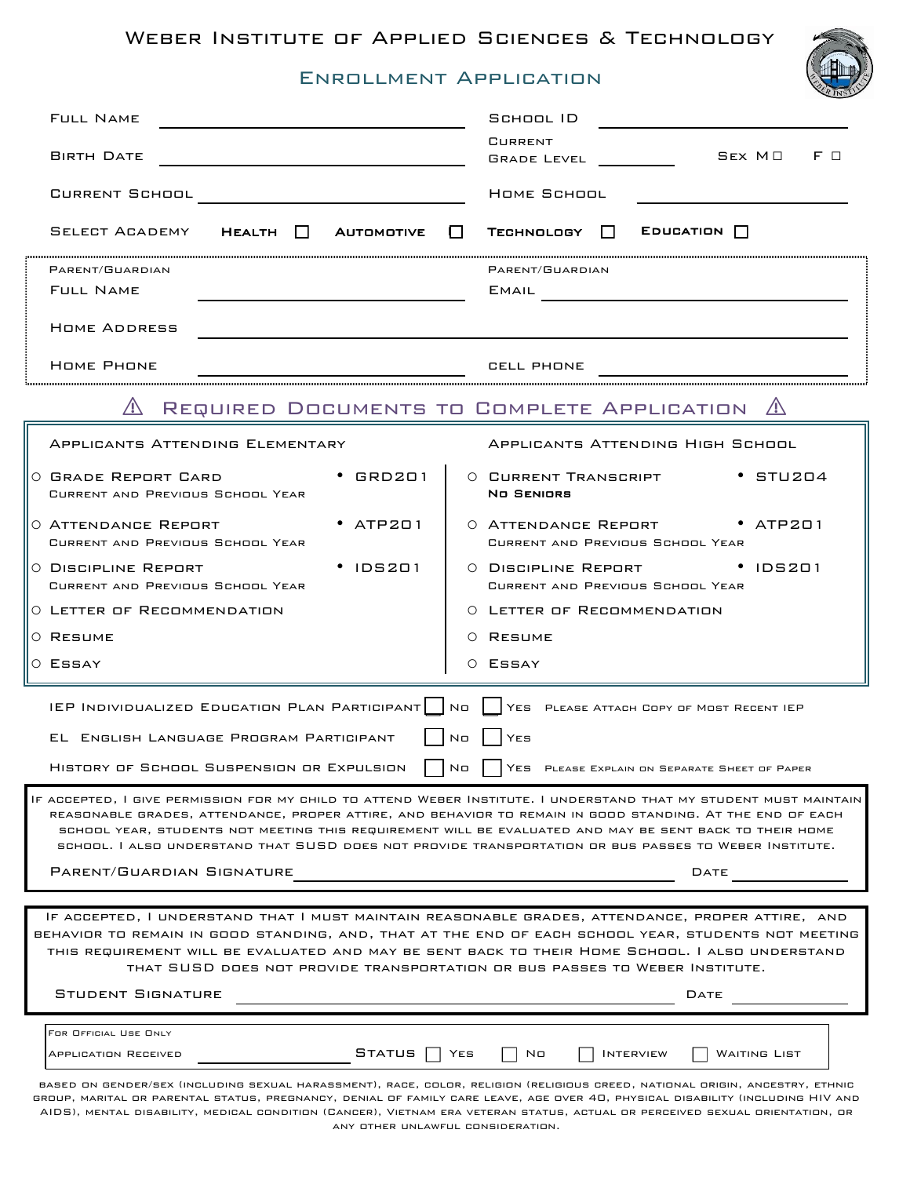# Enrollment Application

| <b>FULL NAME</b>                                                                                                                                                                                                                                                                                                                                                                                                                                                                        | SCHOOL ID                                                                 |
|-----------------------------------------------------------------------------------------------------------------------------------------------------------------------------------------------------------------------------------------------------------------------------------------------------------------------------------------------------------------------------------------------------------------------------------------------------------------------------------------|---------------------------------------------------------------------------|
| <b>BIRTH DATE</b>                                                                                                                                                                                                                                                                                                                                                                                                                                                                       | <b>CURRENT</b><br>$SEX$ $M \Box$<br>FП<br><b>GRADE LEVEL</b>              |
| CURRENT SCHOOL                                                                                                                                                                                                                                                                                                                                                                                                                                                                          | HOME SCHOOL                                                               |
| SELECT ACADEMY<br>HEALTH II<br>Аитомотіvе                                                                                                                                                                                                                                                                                                                                                                                                                                               | $E$ DUCATION $\Box$<br>TECHNOLOGY 1<br>$\mathbf{L}$                       |
| PARENT/GUARDIAN<br><b>FULL NAME</b>                                                                                                                                                                                                                                                                                                                                                                                                                                                     | PARENT/GUARDIAN<br><b>EMAIL</b>                                           |
| HOME ADDRESS                                                                                                                                                                                                                                                                                                                                                                                                                                                                            |                                                                           |
| <b>HOME PHONE</b>                                                                                                                                                                                                                                                                                                                                                                                                                                                                       | CELL PHONE                                                                |
| REQUIRED DOCUMENTS TO COMPLETE APPLICATION                                                                                                                                                                                                                                                                                                                                                                                                                                              |                                                                           |
| APPLICANTS ATTENDING ELEMENTARY                                                                                                                                                                                                                                                                                                                                                                                                                                                         | APPLICANTS ATTENDING HIGH SCHOOL                                          |
| $\cdot$ GRD201<br>O GRADE REPORT CARD<br>CURRENT AND PREVIOUS SCHOOL YEAR                                                                                                                                                                                                                                                                                                                                                                                                               | O CURRENT TRANSCRIPT<br>$\cdot$ STU204<br>NO SENIORS                      |
| $•$ ATP201<br>0 ATTENDANCE REPORT<br>CURRENT AND PREVIOUS SCHOOL YEAR                                                                                                                                                                                                                                                                                                                                                                                                                   | O ATTENDANCE REPORT • ATP201<br>CURRENT AND PREVIOUS SCHOOL YEAR          |
| $\cdot$ IDS201<br>O DISCIPLINE REPORT<br>CURRENT AND PREVIOUS SCHOOL YEAR                                                                                                                                                                                                                                                                                                                                                                                                               | $\cdot$ IDS201<br>0 DISCIPLINE REPORT<br>CURRENT AND PREVIOUS SCHOOL YEAR |
| O LETTER OF RECOMMENDATION                                                                                                                                                                                                                                                                                                                                                                                                                                                              | O LETTER OF RECOMMENDATION                                                |
| O RESUME                                                                                                                                                                                                                                                                                                                                                                                                                                                                                | O RESUME                                                                  |
| O ESSAY                                                                                                                                                                                                                                                                                                                                                                                                                                                                                 | O ESSAY                                                                   |
| IEP INDIVIDUALIZED EDUCATION PLAN PARTICIPANT   NO<br>YES PLEASE ATTACH COPY OF MOST RECENT IEP                                                                                                                                                                                                                                                                                                                                                                                         |                                                                           |
| N <sub>0</sub><br>EL ENGLISH LANGUAGE PROGRAM PARTICIPANT<br>YES                                                                                                                                                                                                                                                                                                                                                                                                                        |                                                                           |
| HISTORY OF SCHOOL SUSPENSION OR EXPULSION                                                                                                                                                                                                                                                                                                                                                                                                                                               | No<br>YES PLEASE EXPLAIN ON SEPARATE SHEET OF PAPER                       |
| IF ACCEPTED, I GIVE PERMISSION FOR MY CHILD TO ATTEND WEBER INSTITUTE. I UNDERSTAND THAT MY STUDENT MUST MAINTAIN<br>REASONABLE GRADES, ATTENDANCE, PROPER ATTIRE, AND BEHAVIOR TO REMAIN IN GOOD STANDING. AT THE END OF EACH<br>SCHOOL YEAR, STUDENTS NOT MEETING THIS REQUIREMENT WILL BE EVALUATED AND MAY BE SENT BACK TO THEIR HOME<br>SCHOOL. I ALSO UNDERSTAND THAT SUSD DOES NOT PROVIDE TRANSPORTATION OR BUS PASSES TO WEBER INSTITUTE.<br>PARENT/GUARDIAN SIGNATURE<br>DATE |                                                                           |
|                                                                                                                                                                                                                                                                                                                                                                                                                                                                                         |                                                                           |
| IF ACCEPTED, I UNDERSTAND THAT I MUST MAINTAIN REASONABLE GRADES, ATTENDANCE, PROPER ATTIRE, AND<br>BEHAVIOR TO REMAIN IN GOOD STANDING, AND, THAT AT THE END OF EACH SCHOOL YEAR, STUDENTS NOT MEETING<br>THIS REQUIREMENT WILL BE EVALUATED AND MAY BE SENT BACK TO THEIR HOME SCHOOL. I ALSO UNDERSTAND<br>THAT SUSD DOES NOT PROVIDE TRANSPORTATION OR BUS PASSES TO WEBER INSTITUTE.                                                                                               |                                                                           |
| <b>STUDENT SIGNATURE</b>                                                                                                                                                                                                                                                                                                                                                                                                                                                                | DATE                                                                      |
| FOR OFFICIAL USE ONLY                                                                                                                                                                                                                                                                                                                                                                                                                                                                   |                                                                           |
| <b>STATUS</b><br>APPLICATION RECEIVED                                                                                                                                                                                                                                                                                                                                                                                                                                                   | N <sub>0</sub><br><b>INTERVIEW</b><br>YES<br><b>WAITING LIST</b>          |
| BASED ON GENDER/SEX (INCLUDING SEXUAL HARASSMENT), RACE, COLOR, RELIGION (RELIGIOUS CREED, NATIONAL ORIGIN, ANCESTRY, ETHNIC<br>GROUP, MARITAL OR PARENTAL STATUS, PREGNANCY, DENIAL OF FAMILY CARE LEAVE, AGE OVER 40, PHYSICAL DISABILITY (INCLUDING HIV AND<br>AIDS), MENTAL DISABILITY, MEDICAL CONDITION (CANCER), VIETNAM ERA VETERAN STATUS, ACTUAL OR PERCEIVED SEXUAL ORIENTATION, OR<br>ANY OTHER UNLAWFUL CONSIDERATION.                                                     |                                                                           |